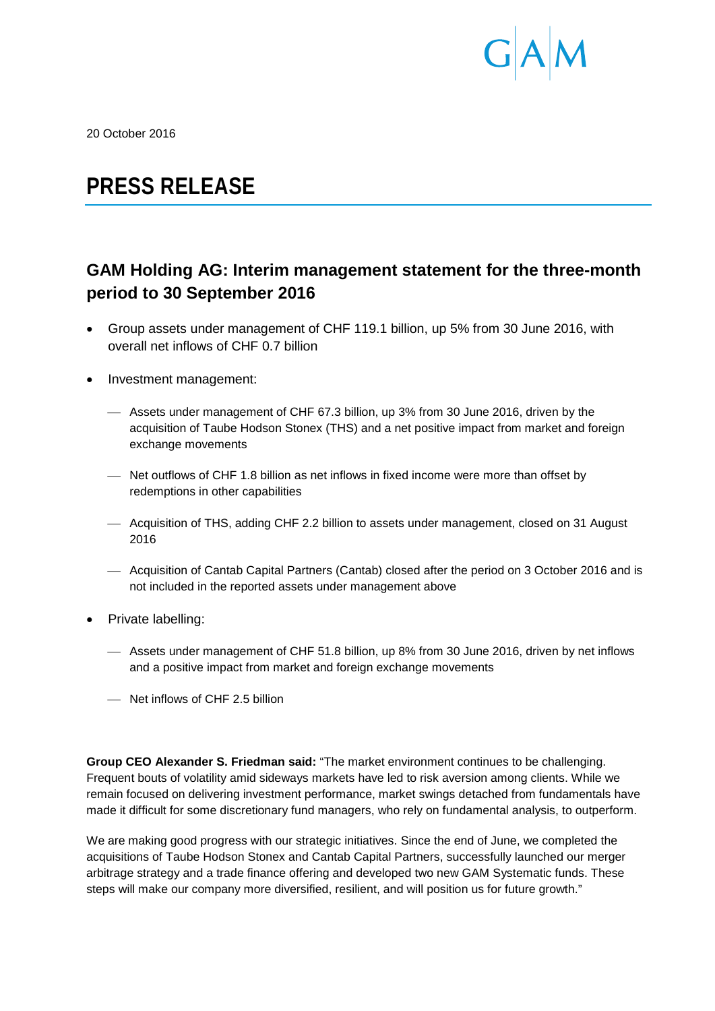

20 October 2016

# **PRESS RELEASE**

# **GAM Holding AG: Interim management statement for the three-month period to 30 September 2016**

- Group assets under management of CHF 119.1 billion, up 5% from 30 June 2016, with overall net inflows of CHF 0.7 billion
- Investment management:
	- Assets under management of CHF 67.3 billion, up 3% from 30 June 2016, driven by the acquisition of Taube Hodson Stonex (THS) and a net positive impact from market and foreign exchange movements
	- Net outflows of CHF 1.8 billion as net inflows in fixed income were more than offset by redemptions in other capabilities
	- Acquisition of THS, adding CHF 2.2 billion to assets under management, closed on 31 August 2016
	- Acquisition of Cantab Capital Partners (Cantab) closed after the period on 3 October 2016 and is not included in the reported assets under management above
- Private labelling:
	- Assets under management of CHF 51.8 billion, up 8% from 30 June 2016, driven by net inflows and a positive impact from market and foreign exchange movements
	- Net inflows of CHF 2.5 billion

**Group CEO Alexander S. Friedman said:** "The market environment continues to be challenging. Frequent bouts of volatility amid sideways markets have led to risk aversion among clients. While we remain focused on delivering investment performance, market swings detached from fundamentals have made it difficult for some discretionary fund managers, who rely on fundamental analysis, to outperform.

We are making good progress with our strategic initiatives. Since the end of June, we completed the acquisitions of Taube Hodson Stonex and Cantab Capital Partners, successfully launched our merger arbitrage strategy and a trade finance offering and developed two new GAM Systematic funds. These steps will make our company more diversified, resilient, and will position us for future growth."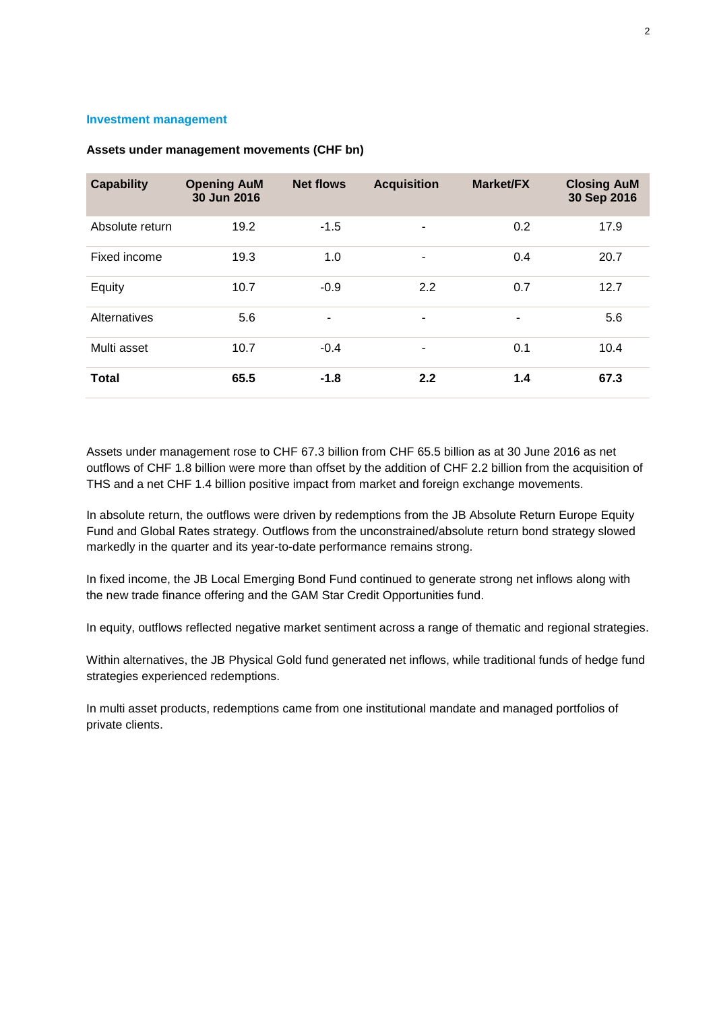#### **Investment management**

| <b>Capability</b> | <b>Opening AuM</b><br>30 Jun 2016 | <b>Net flows</b> | <b>Acquisition</b>       | <b>Market/FX</b> | <b>Closing AuM</b><br>30 Sep 2016 |
|-------------------|-----------------------------------|------------------|--------------------------|------------------|-----------------------------------|
| Absolute return   | 19.2                              | $-1.5$           | ٠                        | 0.2              | 17.9                              |
| Fixed income      | 19.3                              | 1.0              | $\overline{\phantom{a}}$ | 0.4              | 20.7                              |
| Equity            | 10.7                              | $-0.9$           | 2.2                      | 0.7              | 12.7                              |
| Alternatives      | 5.6                               | $\blacksquare$   | $\overline{\phantom{a}}$ | ۰                | 5.6                               |
| Multi asset       | 10.7                              | $-0.4$           | $\overline{\phantom{a}}$ | 0.1              | 10.4                              |
| <b>Total</b>      | 65.5                              | $-1.8$           | 2.2                      | 1.4              | 67.3                              |

## **Assets under management movements (CHF bn)**

Assets under management rose to CHF 67.3 billion from CHF 65.5 billion as at 30 June 2016 as net outflows of CHF 1.8 billion were more than offset by the addition of CHF 2.2 billion from the acquisition of THS and a net CHF 1.4 billion positive impact from market and foreign exchange movements.

In absolute return, the outflows were driven by redemptions from the JB Absolute Return Europe Equity Fund and Global Rates strategy. Outflows from the unconstrained/absolute return bond strategy slowed markedly in the quarter and its year-to-date performance remains strong.

In fixed income, the JB Local Emerging Bond Fund continued to generate strong net inflows along with the new trade finance offering and the GAM Star Credit Opportunities fund.

In equity, outflows reflected negative market sentiment across a range of thematic and regional strategies.

Within alternatives, the JB Physical Gold fund generated net inflows, while traditional funds of hedge fund strategies experienced redemptions.

In multi asset products, redemptions came from one institutional mandate and managed portfolios of private clients.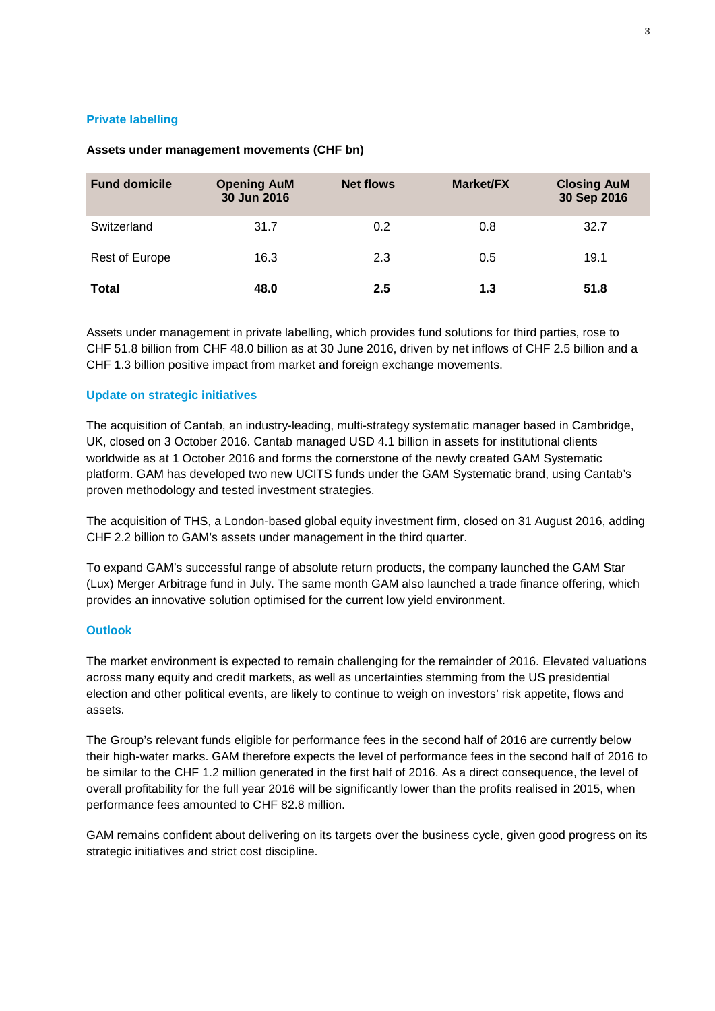# **Private labelling**

| <b>Fund domicile</b> | <b>Opening AuM</b><br>30 Jun 2016 | <b>Net flows</b> | <b>Market/FX</b> | <b>Closing AuM</b><br>30 Sep 2016 |
|----------------------|-----------------------------------|------------------|------------------|-----------------------------------|
| Switzerland          | 31.7                              | 0.2              | 0.8              | 32.7                              |
| Rest of Europe       | 16.3                              | 2.3              | 0.5              | 19.1                              |
| Total                | 48.0                              | 2.5              | 1.3              | 51.8                              |

# **Assets under management movements (CHF bn)**

Assets under management in private labelling, which provides fund solutions for third parties, rose to CHF 51.8 billion from CHF 48.0 billion as at 30 June 2016, driven by net inflows of CHF 2.5 billion and a CHF 1.3 billion positive impact from market and foreign exchange movements.

# **Update on strategic initiatives**

The acquisition of Cantab, an industry-leading, multi-strategy systematic manager based in Cambridge, UK, closed on 3 October 2016. Cantab managed USD 4.1 billion in assets for institutional clients worldwide as at 1 October 2016 and forms the cornerstone of the newly created GAM Systematic platform. GAM has developed two new UCITS funds under the GAM Systematic brand, using Cantab's proven methodology and tested investment strategies.

The acquisition of THS, a London-based global equity investment firm, closed on 31 August 2016, adding CHF 2.2 billion to GAM's assets under management in the third quarter.

To expand GAM's successful range of absolute return products, the company launched the GAM Star (Lux) Merger Arbitrage fund in July. The same month GAM also launched a trade finance offering, which provides an innovative solution optimised for the current low yield environment.

# **Outlook**

The market environment is expected to remain challenging for the remainder of 2016. Elevated valuations across many equity and credit markets, as well as uncertainties stemming from the US presidential election and other political events, are likely to continue to weigh on investors' risk appetite, flows and assets.

The Group's relevant funds eligible for performance fees in the second half of 2016 are currently below their high-water marks. GAM therefore expects the level of performance fees in the second half of 2016 to be similar to the CHF 1.2 million generated in the first half of 2016. As a direct consequence, the level of overall profitability for the full year 2016 will be significantly lower than the profits realised in 2015, when performance fees amounted to CHF 82.8 million.

GAM remains confident about delivering on its targets over the business cycle, given good progress on its strategic initiatives and strict cost discipline.